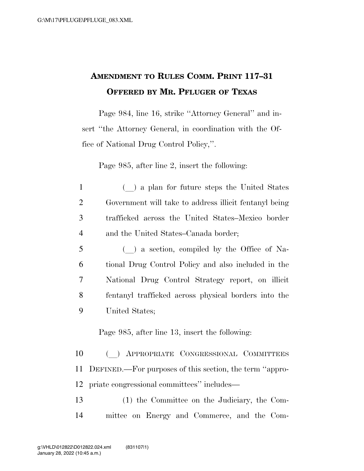## **AMENDMENT TO RULES COMM. PRINT 117–31 OFFERED BY MR. PFLUGER OF TEXAS**

Page 984, line 16, strike ''Attorney General'' and insert ''the Attorney General, in coordination with the Office of National Drug Control Policy,''.

Page 985, after line 2, insert the following:

- 1 (a) a plan for future steps the United States 2 Government will take to address illicit fentanyl being 3 trafficked across the United States–Mexico border 4 and the United States–Canada border;
- <sup>5</sup> (l) a section, compiled by the Office of Na-6 tional Drug Control Policy and also included in the 7 National Drug Control Strategy report, on illicit 8 fentanyl trafficked across physical borders into the 9 United States;

Page 985, after line 13, insert the following:

10 () APPROPRIATE CONGRESSIONAL COMMITTEES 11 DEFINED.—For purposes of this section, the term ''appro-12 priate congressional committees'' includes—

13 (1) the Committee on the Judiciary, the Com-14 mittee on Energy and Commerce, and the Com-